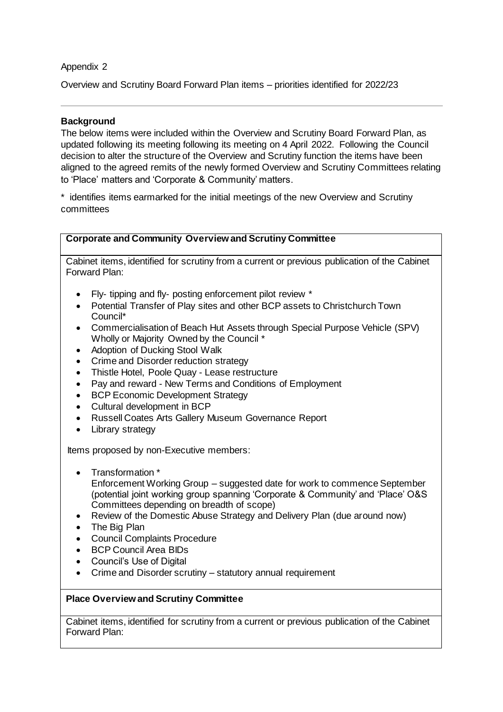## Appendix 2

Overview and Scrutiny Board Forward Plan items – priorities identified for 2022/23

## **Background**

The below items were included within the Overview and Scrutiny Board Forward Plan, as updated following its meeting following its meeting on 4 April 2022. Following the Council decision to alter the structure of the Overview and Scrutiny function the items have been aligned to the agreed remits of the newly formed Overview and Scrutiny Committees relating to 'Place' matters and 'Corporate & Community' matters.

\* identifies items earmarked for the initial meetings of the new Overview and Scrutiny committees

| <b>Corporate and Community Overview and Scrutiny Committee</b> |  |
|----------------------------------------------------------------|--|

Cabinet items, identified for scrutiny from a current or previous publication of the Cabinet Forward Plan:

- Fly- tipping and fly- posting enforcement pilot review \*
- Potential Transfer of Play sites and other BCP assets to Christchurch Town Council\*
- Commercialisation of Beach Hut Assets through Special Purpose Vehicle (SPV) Wholly or Majority Owned by the Council \*
- Adoption of Ducking Stool Walk
- Crime and Disorder reduction strategy
- Thistle Hotel, Poole Quay Lease restructure
- Pay and reward New Terms and Conditions of Employment
- BCP Economic Development Strategy
- Cultural development in BCP
- Russell Coates Arts Gallery Museum Governance Report
- Library strategy

Items proposed by non-Executive members:

- Transformation \* Enforcement Working Group – suggested date for work to commence September (potential joint working group spanning 'Corporate & Community' and 'Place' O&S Committees depending on breadth of scope)
- Review of the Domestic Abuse Strategy and Delivery Plan (due around now)
- The Big Plan
- Council Complaints Procedure
- BCP Council Area BIDs
- Council's Use of Digital
- Crime and Disorder scrutiny statutory annual requirement

## **Place Overview and Scrutiny Committee**

Cabinet items, identified for scrutiny from a current or previous publication of the Cabinet Forward Plan: